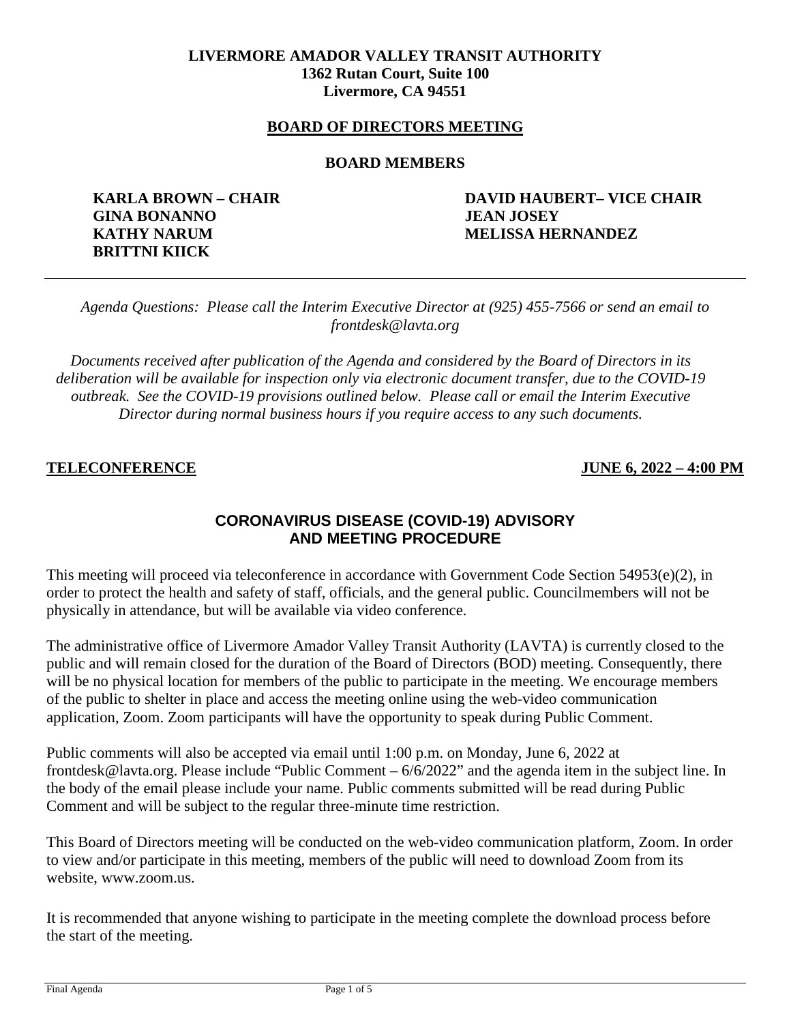#### **LIVERMORE AMADOR VALLEY TRANSIT AUTHORITY 1362 Rutan Court, Suite 100 Livermore, CA 94551**

#### **BOARD OF DIRECTORS MEETING**

#### **BOARD MEMBERS**

**GINA BONANNO JEAN JOSEY KATHY NARUM MELISSA HERNANDEZ BRITTNI KIICK**

# **KARLA BROWN – CHAIR DAVID HAUBERT– VICE CHAIR**

*Agenda Questions: Please call the Interim Executive Director at (925) 455-7566 or send an email to frontdesk@lavta.org*

*Documents received after publication of the Agenda and considered by the Board of Directors in its deliberation will be available for inspection only via electronic document transfer, due to the COVID-19 outbreak. See the COVID-19 provisions outlined below. Please call or email the Interim Executive Director during normal business hours if you require access to any such documents.*

#### **TELECONFERENCE JUNE 6, 2022 – 4:00 PM**

# **CORONAVIRUS DISEASE (COVID-19) ADVISORY AND MEETING PROCEDURE**

This meeting will proceed via teleconference in accordance with Government Code Section 54953(e)(2), in order to protect the health and safety of staff, officials, and the general public. Councilmembers will not be physically in attendance, but will be available via video conference.

The administrative office of Livermore Amador Valley Transit Authority (LAVTA) is currently closed to the public and will remain closed for the duration of the Board of Directors (BOD) meeting. Consequently, there will be no physical location for members of the public to participate in the meeting. We encourage members of the public to shelter in place and access the meeting online using the web-video communication application, Zoom. Zoom participants will have the opportunity to speak during Public Comment.

Public comments will also be accepted via email until 1:00 p.m. on Monday, June 6, 2022 a[t](mailto:frontdesk@lavta.org) [frontdesk@lavta.org.](mailto:frontdesk@lavta.org) Please include "Public Comment – 6/6/2022" and the agenda item in the subject line. In the body of the email please include your name. Public comments submitted will be read during Public Comment and will be subject to the regular three-minute time restriction.

This Board of Directors meeting will be conducted on the web-video communication platform, Zoom. In order to view and/or participate in this meeting, members of the public will need to download Zoom from its website, [www.zoom.us.](http://www.zoom.us/)

It is recommended that anyone wishing to participate in the meeting complete the download process before the start of the meeting.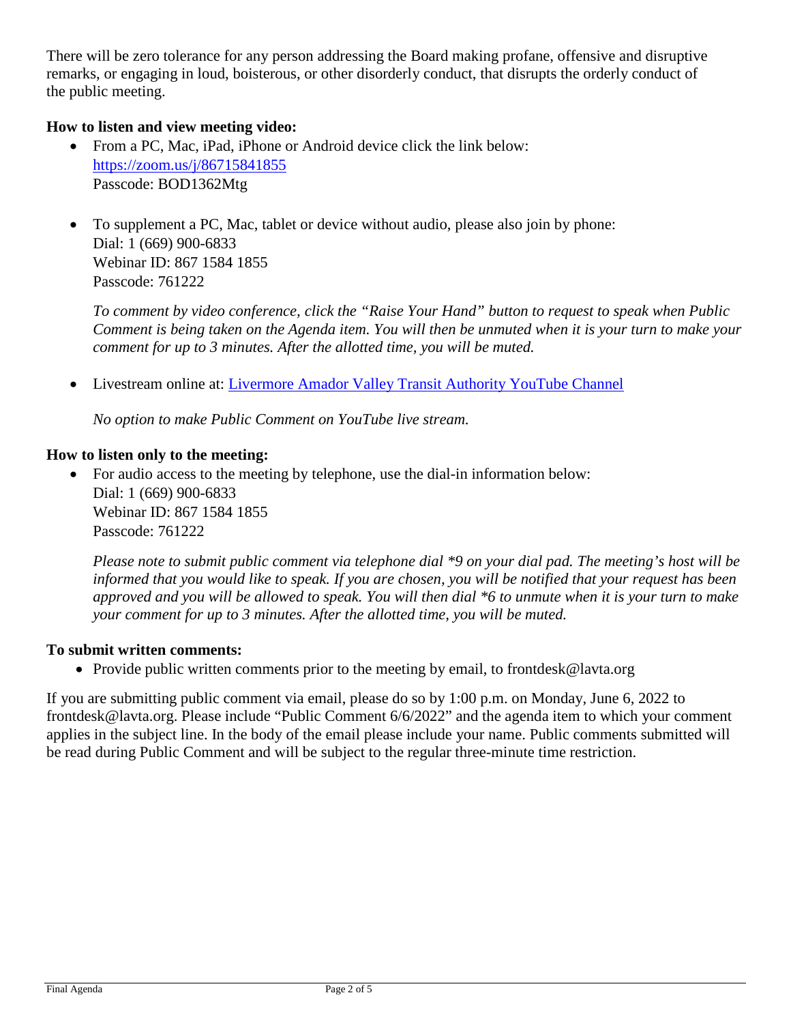There will be zero tolerance for any person addressing the Board making profane, offensive and disruptive remarks, or engaging in loud, boisterous, or other disorderly conduct, that disrupts the orderly conduct of the public meeting.

# **How to listen and view meeting video:**

- From a PC, Mac, iPad, iPhone or Android device click the link below: [https://zoom.us/j/86715841855](https://us02web.zoom.us/j/86715841855?pwd=N1oybVBlMDhNWCswUnNjOWRycUlGUT09) Passcode: BOD1362Mtg
- To supplement a PC, Mac, tablet or device without audio, please also join by phone: Dial: 1 (669) 900-6833 Webinar ID: 867 1584 1855 Passcode: 761222

*To comment by video conference, click the "Raise Your Hand" button to request to speak when Public Comment is being taken on the Agenda item. You will then be unmuted when it is your turn to make your comment for up to 3 minutes. After the allotted time, you will be muted.* 

• Livestream online at: [Livermore Amador Valley Transit Authority YouTube Channel](https://www.youtube.com/channel/UCRBWx1FANoSjlD0O0atdiPw)

*No option to make Public Comment on YouTube live stream.*

## **How to listen only to the meeting:**

• For audio access to the meeting by telephone, use the dial-in information below: Dial: 1 (669) 900-6833 Webinar ID: 867 1584 1855 Passcode: 761222

*Please note to submit public comment via telephone dial \*9 on your dial pad. The meeting's host will be informed that you would like to speak. If you are chosen, you will be notified that your request has been approved and you will be allowed to speak. You will then dial \*6 to unmute when it is your turn to make your comment for up to 3 minutes. After the allotted time, you will be muted.*

## **To submit written comments:**

• Provide public written comments prior to the meeting by email, to frontdesk@lavta.org

If you are submitting public comment via email, please do so by 1:00 p.m. on Monday, June 6, 2022 to frontdesk@lavta.org. Please include "Public Comment 6/6/2022" and the agenda item to which your comment applies in the subject line. In the body of the email please include your name. Public comments submitted will be read during Public Comment and will be subject to the regular three-minute time restriction.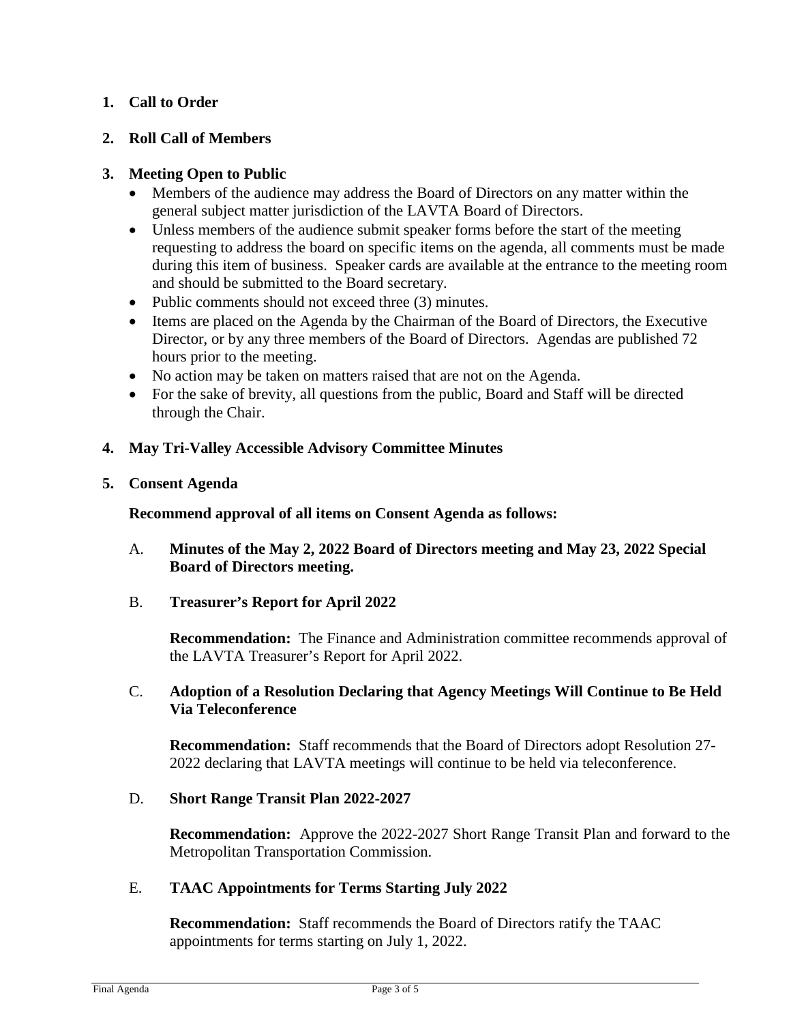# **1. Call to Order**

## **2. Roll Call of Members**

# **3. Meeting Open to Public**

- Members of the audience may address the Board of Directors on any matter within the general subject matter jurisdiction of the LAVTA Board of Directors.
- Unless members of the audience submit speaker forms before the start of the meeting requesting to address the board on specific items on the agenda, all comments must be made during this item of business. Speaker cards are available at the entrance to the meeting room and should be submitted to the Board secretary.
- Public comments should not exceed three (3) minutes.
- Items are placed on the Agenda by the Chairman of the Board of Directors, the Executive Director, or by any three members of the Board of Directors. Agendas are published 72 hours prior to the meeting.
- No action may be taken on matters raised that are not on the Agenda.
- For the sake of brevity, all questions from the public, Board and Staff will be directed through the Chair.
- **4. May Tri-Valley Accessible Advisory Committee Minutes**
- **5. Consent Agenda**

**Recommend approval of all items on Consent Agenda as follows:**

- A. **Minutes of the May 2, 2022 Board of Directors meeting and May 23, 2022 Special Board of Directors meeting.**
- B. **Treasurer's Report for April 2022**

**Recommendation:** The Finance and Administration committee recommends approval of the LAVTA Treasurer's Report for April 2022.

## C. **Adoption of a Resolution Declaring that Agency Meetings Will Continue to Be Held Via Teleconference**

**Recommendation:** Staff recommends that the Board of Directors adopt Resolution 27- 2022 declaring that LAVTA meetings will continue to be held via teleconference.

## D. **Short Range Transit Plan 2022-2027**

**Recommendation:** Approve the 2022-2027 Short Range Transit Plan and forward to the Metropolitan Transportation Commission.

## E. **TAAC Appointments for Terms Starting July 2022**

**Recommendation:** Staff recommends the Board of Directors ratify the TAAC appointments for terms starting on July 1, 2022.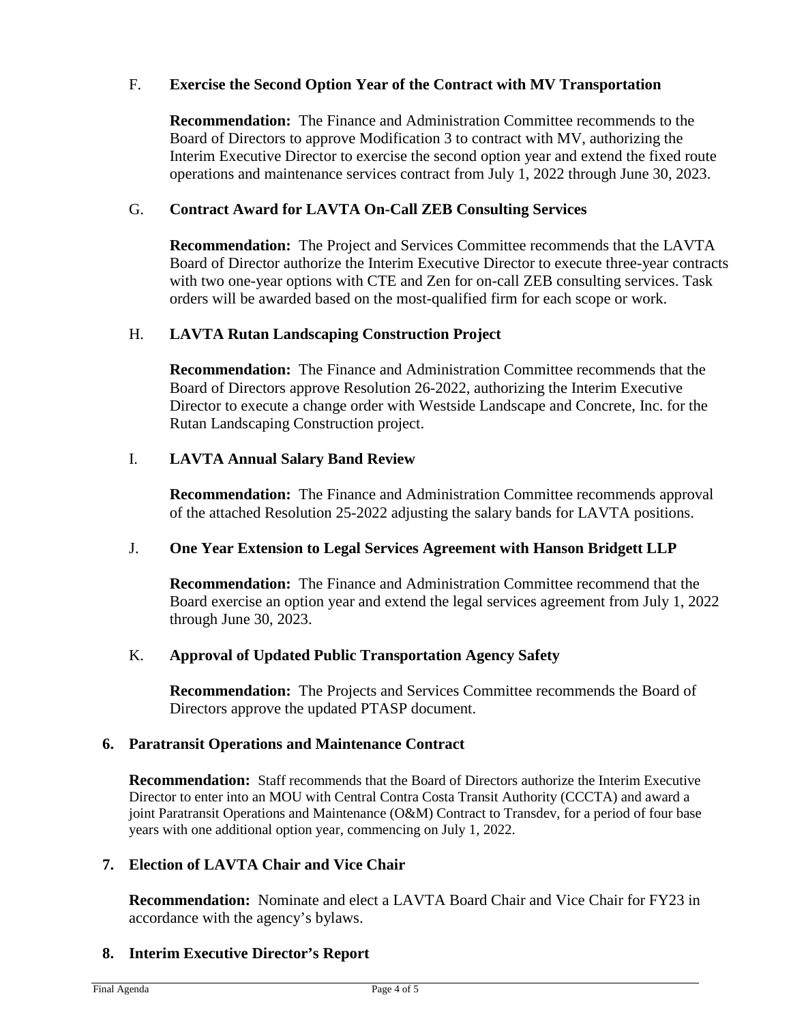# F. **Exercise the Second Option Year of the Contract with MV Transportation**

**Recommendation:** The Finance and Administration Committee recommends to the Board of Directors to approve Modification 3 to contract with MV, authorizing the Interim Executive Director to exercise the second option year and extend the fixed route operations and maintenance services contract from July 1, 2022 through June 30, 2023.

# G. **Contract Award for LAVTA On-Call ZEB Consulting Services**

**Recommendation:** The Project and Services Committee recommends that the LAVTA Board of Director authorize the Interim Executive Director to execute three-year contracts with two one-year options with CTE and Zen for on-call ZEB consulting services. Task orders will be awarded based on the most-qualified firm for each scope or work.

## H. **LAVTA Rutan Landscaping Construction Project**

**Recommendation:** The Finance and Administration Committee recommends that the Board of Directors approve Resolution 26-2022, authorizing the Interim Executive Director to execute a change order with Westside Landscape and Concrete, Inc. for the Rutan Landscaping Construction project.

## I. **LAVTA Annual Salary Band Review**

**Recommendation:** The Finance and Administration Committee recommends approval of the attached Resolution 25-2022 adjusting the salary bands for LAVTA positions.

## J. **One Year Extension to Legal Services Agreement with Hanson Bridgett LLP**

**Recommendation:** The Finance and Administration Committee recommend that the Board exercise an option year and extend the legal services agreement from July 1, 2022 through June 30, 2023.

## K. **Approval of Updated Public Transportation Agency Safety**

**Recommendation:** The Projects and Services Committee recommends the Board of Directors approve the updated PTASP document.

#### **6. Paratransit Operations and Maintenance Contract**

**Recommendation:** Staff recommends that the Board of Directors authorize the Interim Executive Director to enter into an MOU with Central Contra Costa Transit Authority (CCCTA) and award a joint Paratransit Operations and Maintenance (O&M) Contract to Transdev, for a period of four base years with one additional option year, commencing on July 1, 2022.

## **7. Election of LAVTA Chair and Vice Chair**

**Recommendation:** Nominate and elect a LAVTA Board Chair and Vice Chair for FY23 in accordance with the agency's bylaws.

## **8. Interim Executive Director's Report**